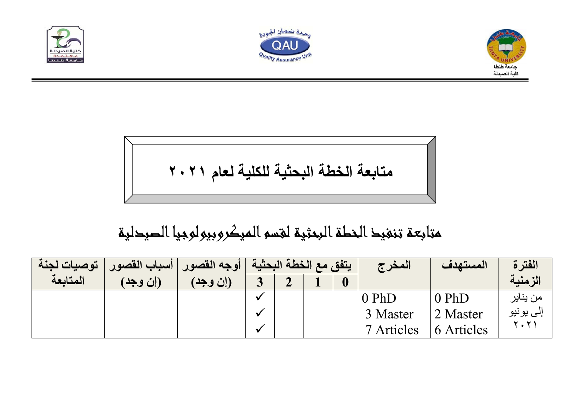





$$
\sqrt{1 + \left( \frac{1}{2} + \frac{1}{2} \right)^2 + \left( \frac{1}{2} + \frac{1}{2} \right)^2}
$$

## متابعة تنفيذ الخطة البحثية لقسم الميكروبيولوجيا الصيدلية

| توصيات لجنة | السباب القصور | أوجه القصور | [ يتفق مع الخطة البحثية ] |             |  | المغرج     | المستهدف   | الفترة      |
|-------------|---------------|-------------|---------------------------|-------------|--|------------|------------|-------------|
| المتابعة    | (إن وجد)      | (إن وجد)    |                           | $\bigwedge$ |  |            |            | الزمنية     |
|             |               |             |                           |             |  | $0$ PhD    | $0$ PhD    | من يناير    |
|             |               |             |                           |             |  | 3 Master   | 2 Master   | إلى يونيو   |
|             |               |             | $\cdot$                   |             |  | 7 Articles | 6 Articles | <b>۲۰۲۱</b> |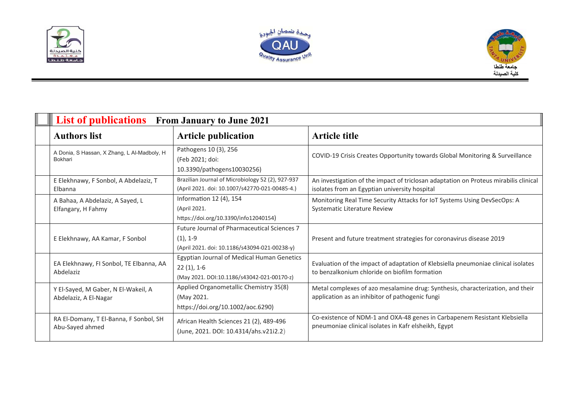





| <b>List of publications</b> From January to June 2021        |                                                                                                                   |                                                                                                                                       |  |  |  |  |  |
|--------------------------------------------------------------|-------------------------------------------------------------------------------------------------------------------|---------------------------------------------------------------------------------------------------------------------------------------|--|--|--|--|--|
| <b>Authors list</b><br><b>Article publication</b>            |                                                                                                                   | <b>Article title</b>                                                                                                                  |  |  |  |  |  |
| A Donia, S Hassan, X Zhang, L Al-Madboly, H<br>Bokhari       | Pathogens 10 (3), 256<br>(Feb 2021; doi:<br>10.3390/pathogens10030256)                                            | COVID-19 Crisis Creates Opportunity towards Global Monitoring & Surveillance                                                          |  |  |  |  |  |
| E Elekhnawy, F Sonbol, A Abdelaziz, T<br>Elbanna             | Brazilian Journal of Microbiology 52 (2), 927-937<br>(April 2021. doi: 10.1007/s42770-021-00485-4.)               | An investigation of the impact of triclosan adaptation on Proteus mirabilis clinical<br>isolates from an Egyptian university hospital |  |  |  |  |  |
| A Bahaa, A Abdelaziz, A Sayed, L<br>Elfangary, H Fahmy       | Information 12 (4), 154<br>(April 2021.<br>https://doi.org/10.3390/info12040154)                                  | Monitoring Real Time Security Attacks for IoT Systems Using DevSecOps: A<br><b>Systematic Literature Review</b>                       |  |  |  |  |  |
| E Elekhnawy, AA Kamar, F Sonbol                              | <b>Future Journal of Pharmaceutical Sciences 7</b><br>$(1), 1-9$<br>(April 2021. doi: 10.1186/s43094-021-00238-y) | Present and future treatment strategies for coronavirus disease 2019                                                                  |  |  |  |  |  |
| EA Elekhnawy, FI Sonbol, TE Elbanna, AA<br>Abdelaziz         | Egyptian Journal of Medical Human Genetics<br>$22(1), 1-6$<br>(May 2021. DOI:10.1186/s43042-021-00170-z)          | Evaluation of the impact of adaptation of Klebsiella pneumoniae clinical isolates<br>to benzalkonium chloride on biofilm formation    |  |  |  |  |  |
| Y El-Sayed, M Gaber, N El-Wakeil, A<br>Abdelaziz, A El-Nagar | Applied Organometallic Chemistry 35(8)<br>(May 2021.<br>https://doi.org/10.1002/aoc.6290)                         | Metal complexes of azo mesalamine drug: Synthesis, characterization, and their<br>application as an inhibitor of pathogenic fungi     |  |  |  |  |  |
| RA El-Domany, T El-Banna, F Sonbol, SH<br>Abu-Sayed ahmed    | African Health Sciences 21 (2), 489-496<br>(June, 2021. DOI: 10.4314/ahs.v21i2.2)                                 | Co-existence of NDM-1 and OXA-48 genes in Carbapenem Resistant Klebsiella<br>pneumoniae clinical isolates in Kafr elsheikh, Egypt     |  |  |  |  |  |